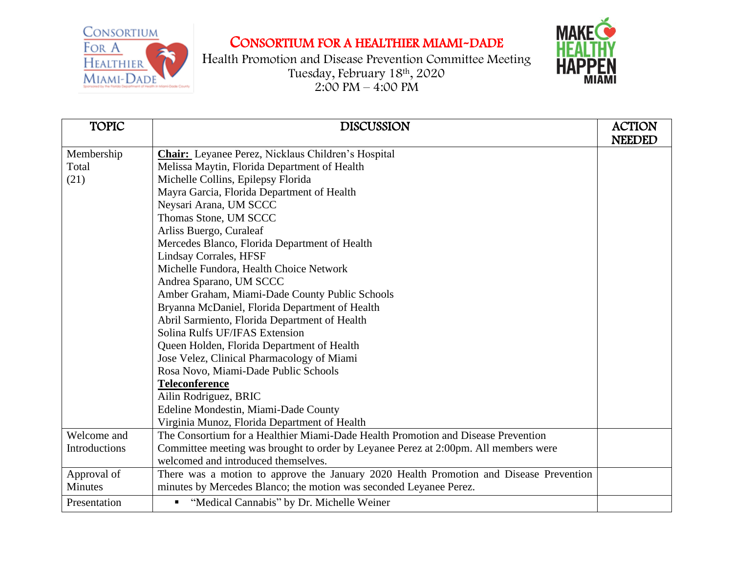

## CONSORTIUM FOR A HEALTHIER MIAMI-DADE

Health Promotion and Disease Prevention Committee Meeting Tuesday, February 18th , 2020  $2:00 \text{ PM} - 4:00 \text{ PM}$ 



| <b>TOPIC</b>   | <b>DISCUSSION</b>                                                                      | <b>ACTION</b><br><b>NEEDED</b> |
|----------------|----------------------------------------------------------------------------------------|--------------------------------|
| Membership     | <b>Chair:</b> Leyanee Perez, Nicklaus Children's Hospital                              |                                |
| Total          | Melissa Maytin, Florida Department of Health                                           |                                |
| (21)           | Michelle Collins, Epilepsy Florida                                                     |                                |
|                | Mayra Garcia, Florida Department of Health                                             |                                |
|                | Neysari Arana, UM SCCC                                                                 |                                |
|                | Thomas Stone, UM SCCC                                                                  |                                |
|                | Arliss Buergo, Curaleaf                                                                |                                |
|                | Mercedes Blanco, Florida Department of Health                                          |                                |
|                | <b>Lindsay Corrales, HFSF</b>                                                          |                                |
|                | Michelle Fundora, Health Choice Network                                                |                                |
|                | Andrea Sparano, UM SCCC                                                                |                                |
|                | Amber Graham, Miami-Dade County Public Schools                                         |                                |
|                | Bryanna McDaniel, Florida Department of Health                                         |                                |
|                | Abril Sarmiento, Florida Department of Health                                          |                                |
|                | Solina Rulfs UF/IFAS Extension                                                         |                                |
|                | Queen Holden, Florida Department of Health                                             |                                |
|                | Jose Velez, Clinical Pharmacology of Miami                                             |                                |
|                | Rosa Novo, Miami-Dade Public Schools                                                   |                                |
|                | <b>Teleconference</b>                                                                  |                                |
|                | Ailin Rodriguez, BRIC                                                                  |                                |
|                | Edeline Mondestin, Miami-Dade County                                                   |                                |
|                | Virginia Munoz, Florida Department of Health                                           |                                |
| Welcome and    | The Consortium for a Healthier Miami-Dade Health Promotion and Disease Prevention      |                                |
| Introductions  | Committee meeting was brought to order by Leyanee Perez at 2:00pm. All members were    |                                |
|                | welcomed and introduced themselves.                                                    |                                |
| Approval of    | There was a motion to approve the January 2020 Health Promotion and Disease Prevention |                                |
| <b>Minutes</b> | minutes by Mercedes Blanco; the motion was seconded Leyanee Perez.                     |                                |
| Presentation   | " "Medical Cannabis" by Dr. Michelle Weiner                                            |                                |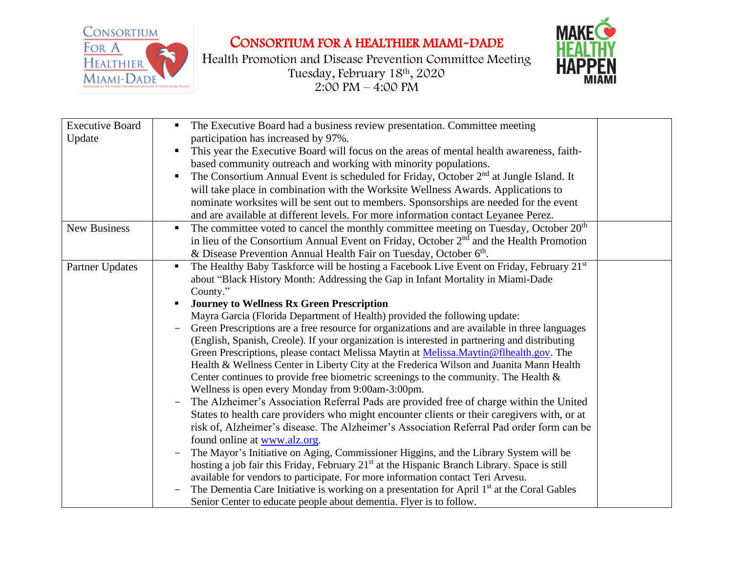

CONSORTIUM FOR A HEALTHIER MIAMI-DADE

Health Promotion and Disease Prevention Committee Meeting Tuesday, February 18th , 2020  $2:00 \text{ PM} - 4:00 \text{ PM}$ 



| <b>Executive Board</b> | The Executive Board had a business review presentation. Committee meeting<br>п                           |  |
|------------------------|----------------------------------------------------------------------------------------------------------|--|
| Update                 | participation has increased by 97%.                                                                      |  |
|                        | This year the Executive Board will focus on the areas of mental health awareness, faith-                 |  |
|                        | based community outreach and working with minority populations.                                          |  |
|                        | The Consortium Annual Event is scheduled for Friday, October 2 <sup>nd</sup> at Jungle Island. It<br>п   |  |
|                        | will take place in combination with the Worksite Wellness Awards. Applications to                        |  |
|                        | nominate worksites will be sent out to members. Sponsorships are needed for the event                    |  |
|                        | and are available at different levels. For more information contact Leyanee Perez.                       |  |
| <b>New Business</b>    | The committee voted to cancel the monthly committee meeting on Tuesday, October $20th$<br>п              |  |
|                        | in lieu of the Consortium Annual Event on Friday, October 2 <sup>nd</sup> and the Health Promotion       |  |
|                        | & Disease Prevention Annual Health Fair on Tuesday, October 6 <sup>th</sup> .                            |  |
| Partner Updates        | The Healthy Baby Taskforce will be hosting a Facebook Live Event on Friday, February 21st<br>٠           |  |
|                        | about "Black History Month: Addressing the Gap in Infant Mortality in Miami-Dade                         |  |
|                        | County."                                                                                                 |  |
|                        | <b>Journey to Wellness Rx Green Prescription</b>                                                         |  |
|                        | Mayra Garcia (Florida Department of Health) provided the following update:                               |  |
|                        | Green Prescriptions are a free resource for organizations and are available in three languages           |  |
|                        | (English, Spanish, Creole). If your organization is interested in partnering and distributing            |  |
|                        | Green Prescriptions, please contact Melissa Maytin at Melissa.Maytin@flhealth.gov. The                   |  |
|                        | Health & Wellness Center in Liberty City at the Frederica Wilson and Juanita Mann Health                 |  |
|                        | Center continues to provide free biometric screenings to the community. The Health $\&$                  |  |
|                        | Wellness is open every Monday from 9:00am-3:00pm.                                                        |  |
|                        | The Alzheimer's Association Referral Pads are provided free of charge within the United                  |  |
|                        | States to health care providers who might encounter clients or their caregivers with, or at              |  |
|                        | risk of, Alzheimer's disease. The Alzheimer's Association Referral Pad order form can be                 |  |
|                        | found online at www.alz.org.                                                                             |  |
|                        | The Mayor's Initiative on Aging, Commissioner Higgins, and the Library System will be                    |  |
|                        | hosting a job fair this Friday, February 21 <sup>st</sup> at the Hispanic Branch Library. Space is still |  |
|                        | available for vendors to participate. For more information contact Teri Arvesu.                          |  |
|                        | The Dementia Care Initiative is working on a presentation for April 1 <sup>st</sup> at the Coral Gables  |  |
|                        | Senior Center to educate people about dementia. Flyer is to follow.                                      |  |